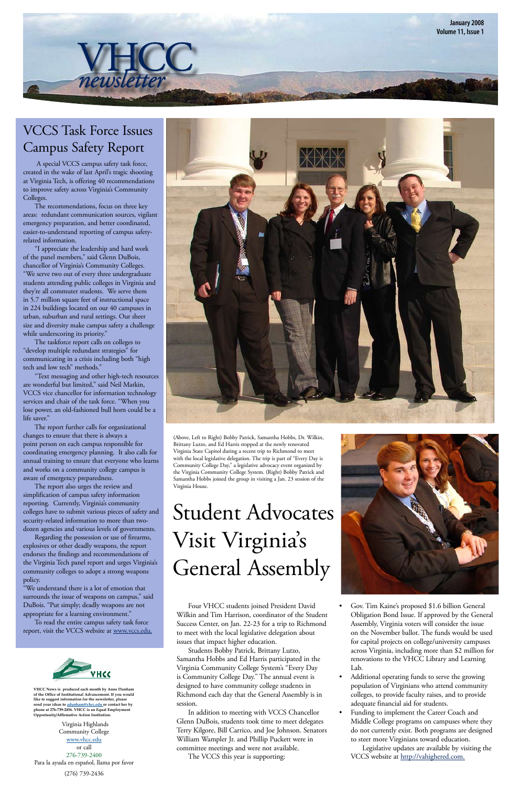**January 2008 Volume 11, Issue 1**

(Above, Left to Right) Bobby Patrick, Samantha Hobbs, Dr. Wilkin, Brittany Lutzo, and Ed Harris stopped at the newly renovated Virginia State Capitol during a recent trip to Richmond to meet with the local legislative delegation. The trip is part of "Every Day is Community College Day," a legislative advocacy event organized by the Virginia Community College System. (Right) Bobby Patrick and Samantha Hobbs joined the group in visiting a Jan. 23 session of the Virginia House.

A special VCCS campus safety task force, created in the wake of last April's tragic shooting at Virginia Tech, is offering 40 recommendations to improve safety across Virginia's Community Colleges.

The recommendations, focus on three key areas: redundant communication sources, vigilant emergency preparation, and better coordinated, easier-to-understand reporting of campus safetyrelated information.

"I appreciate the leadership and hard work of the panel members," said Glenn DuBois, chancellor of Virginia's Community Colleges. "We serve two out of every three undergraduate students attending public colleges in Virginia and they're all commuter students. We serve them in 5.7 million square feet of instructional space in 224 buildings located on our 40 campuses in urban, suburban and rural settings. Our sheer size and diversity make campus safety a challenge while underscoring its priority."

The taskforce report calls on colleges to "develop multiple redundant strategies" for communicating in a crisis including both "high tech and low tech" methods."

"Text messaging and other high-tech resources are wonderful but limited," said Neil Matkin, VCCS vice chancellor for information technology services and chair of the task force. "When you lose power, an old-fashioned bull horn could be a life saver."

The report further calls for organizational changes to ensure that there is always a point person on each campus responsible for coordinating emergency planning. It also calls for annual training to ensure that everyone who learns and works on a community college campus is aware of emergency preparedness.

The report also urges the review and simplification of campus safety information reporting. Currently, Virginia's community colleges have to submit various pieces of safety and security-related information to more than twodozen agencies and various levels of governments.

Regarding the possession or use of firearms, explosives or other deadly weapons, the report endorses the findings and recommendations of the Virginia Tech panel report and urges Virginia's community colleges to adopt a strong weapons



policy.

"We understand there is a lot of emotion that surrounds the issue of weapons on campus," said DuBois. "Put simply; deadly weapons are not appropriate for a learning environment."

To read the entire campus safety task force report, visit the VCCS website at [www.vccs.edu.](http://www.vccs.edu)



# VCCS Task Force Issues Campus Safety Report

newsletter

Student Advocates Visit Virginia's General Assembly



Four VHCC students joined President David Wilkin and Tim Harrison, coordinator of the Student Success Center, on Jan. 22-23 for a trip to Richmond to meet with the local legislative delegation about issues that impact higher education.

Students Bobby Patrick, Brittany Lutzo, Samantha Hobbs and Ed Harris participated in the Virginia Community College System's "Every Day is Community College Day." The annual event is designed to have community college students in Richmond each day that the General Assembly is in session.

In addition to meeting with VCCS Chancellor Glenn DuBois, students took time to meet delegates Terry Kilgore, Bill Carrico, and Joe Johnson. Senators William Wampler Jr. and Phillip Puckett were in committee meetings and were not available. The VCCS this year is supporting:

- Gov. Tim Kaine's proposed \$1.6 billion General Obligation Bond Issue. If approved by the General Assembly, Virginia voters will consider the issue on the November ballot. The funds would be used for capital projects on college/university campuses across Virginia, including more than \$2 million for renovations to the VHCC Library and Learning Lab.
- Additional operating funds to serve the growing population of Virginians who attend community colleges, to provide faculty raises, and to provide adequate financial aid for students. •
- Funding to implement the Career Coach and Middle College programs on campuses where they do not currently exist. Both programs are designed to steer more Virginians toward education. •

Legislative updates are available by visiting the VCCS website at [http://vahighered.com.](http://vahighered.com)

•

Virginia Highlands Community College [www.vhcc.edu](http://www.vhcc.edu) or call 276-739-2400 Para la ayuda en español, llama por favor (276) 739-2436

**VHCC News is produced each month by Anne Dunham of the Office of Institutional Advancement. If you would like to suggest information for the newsletter, please send your ideas to [adunham@vhcc.ed](mailto:adunham@vhcc.edu)u or contact her by phone at 276-739-2456. VHCC is an Equal Employment Opportunity/Affirmative Action Institution.**